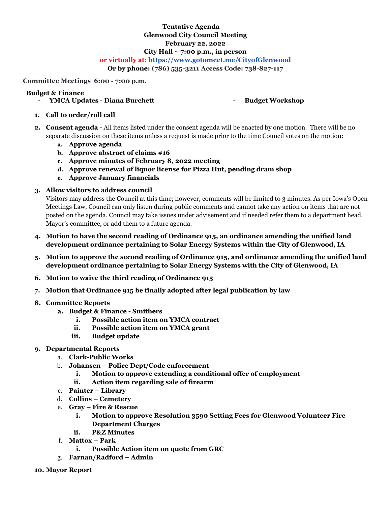# **Tentative Agenda Glenwood City Council Meeting February 22, 2022 City Hall ~ 7:00 p.m., in person**

# **or virtually at: <https://www.gotomeet.me/CityofGlenwood>**

**Or by phone: (786) 535-3211 Access Code: 738-827-117**

### **Committee Meetings 6:00 - 7:00 p.m.**

#### **Budget & Finance**

**- YMCA Updates - Diana Burchett - Budget Workshop**

- **1. Call to order/roll call**
- **2. Consent agenda -** All items listed under the consent agenda will be enacted by one motion. There will be no separate discussion on these items unless a request is made prior to the time Council votes on the motion:
	- **a. Approve agenda**
	- **b. Approve abstract of claims #16**
	- **c. Approve minutes of February 8, 2022 meeting**
	- **d. Approve renewal of liquor license for Pizza Hut, pending dram shop**
	- **e. Approve January financials**

## **3. Allow visitors to address council**

Visitors may address the Council at this time; however, comments will be limited to 3 minutes. As per Iowa's Open Meetings Law, Council can only listen during public comments and cannot take any action on items that are not posted on the agenda. Council may take issues under advisement and if needed refer them to a department head, Mayor's committee, or add them to a future agenda.

- **4. Motion to have the second reading of Ordinance 915, an ordinance amending the unified land development ordinance pertaining to Solar Energy Systems within the City of Glenwood, IA**
- **5. Motion to approve the second reading of Ordinance 915, and ordinance amending the unified land development ordinance pertaining to Solar Energy Systems with the City of Glenwood, IA**
- **6. Motion to waive the third reading of Ordinance 915**
- **7. Motion that Ordinance 915 be finally adopted after legal publication by law**
- **8. Committee Reports**
	- **a. Budget & Finance Smithers**
		- **i. Possible action item on YMCA contract**
		- **ii. Possible action item on YMCA grant**
		- **iii. Budget update**

#### **9. Departmental Reports**

- a. **Clark-Public Works**
- b. **Johansen Police Dept/Code enforcement**
	- **i. Motion to approve extending a conditional offer of employment**
	- **ii. Action item regarding sale of firearm**
- c. **Painter Library**
- d. **Collins Cemetery**
- e. **Gray Fire & Rescue**
	- **i. Motion to approve Resolution 3590 Setting Fees for Glenwood Volunteer Fire Department Charges**
	- **ii. P&Z Minutes**
- f. **Mattox Park**
	- **i. Possible Action item on quote from GRC**
- g. **Farnan/Radford Admin**